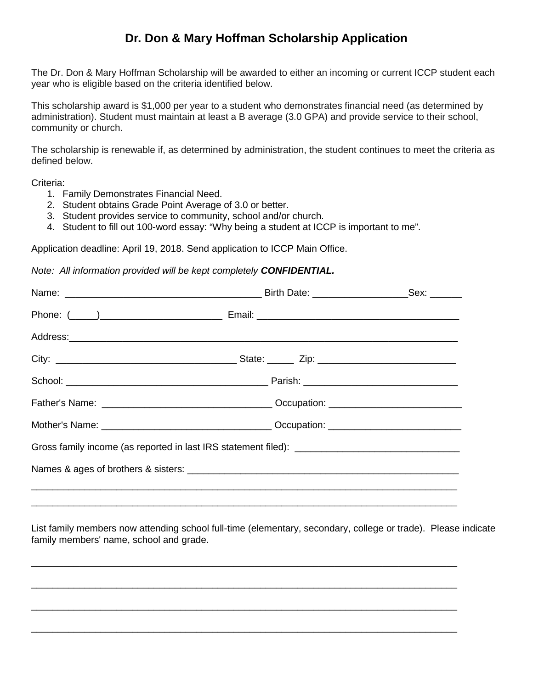## **Dr. Don & Mary Hoffman Scholarship Application**

The Dr. Don & Mary Hoffman Scholarship will be awarded to either an incoming or current ICCP student each year who is eligible based on the criteria identified below.

This scholarship award is \$1,000 per year to a student who demonstrates financial need (as determined by administration). Student must maintain at least a B average (3.0 GPA) and provide service to their school, community or church.

The scholarship is renewable if, as determined by administration, the student continues to meet the criteria as defined below.

Criteria:

- 1. Family Demonstrates Financial Need.
- 2. Student obtains Grade Point Average of 3.0 or better.
- 3. Student provides service to community, school and/or church.
- 4. Student to fill out 100-word essay: "Why being a student at ICCP is important to me".

Application deadline: April 19, 2018. Send application to ICCP Main Office.

*Note: All information provided will be kept completely CONFIDENTIAL.*

List family members now attending school full-time (elementary, secondary, college or trade). Please indicate family members' name, school and grade.

\_\_\_\_\_\_\_\_\_\_\_\_\_\_\_\_\_\_\_\_\_\_\_\_\_\_\_\_\_\_\_\_\_\_\_\_\_\_\_\_\_\_\_\_\_\_\_\_\_\_\_\_\_\_\_\_\_\_\_\_\_\_\_\_\_\_\_\_\_\_\_\_\_\_\_\_\_\_\_\_

\_\_\_\_\_\_\_\_\_\_\_\_\_\_\_\_\_\_\_\_\_\_\_\_\_\_\_\_\_\_\_\_\_\_\_\_\_\_\_\_\_\_\_\_\_\_\_\_\_\_\_\_\_\_\_\_\_\_\_\_\_\_\_\_\_\_\_\_\_\_\_\_\_\_\_\_\_\_\_\_

\_\_\_\_\_\_\_\_\_\_\_\_\_\_\_\_\_\_\_\_\_\_\_\_\_\_\_\_\_\_\_\_\_\_\_\_\_\_\_\_\_\_\_\_\_\_\_\_\_\_\_\_\_\_\_\_\_\_\_\_\_\_\_\_\_\_\_\_\_\_\_\_\_\_\_\_\_\_\_\_

\_\_\_\_\_\_\_\_\_\_\_\_\_\_\_\_\_\_\_\_\_\_\_\_\_\_\_\_\_\_\_\_\_\_\_\_\_\_\_\_\_\_\_\_\_\_\_\_\_\_\_\_\_\_\_\_\_\_\_\_\_\_\_\_\_\_\_\_\_\_\_\_\_\_\_\_\_\_\_\_